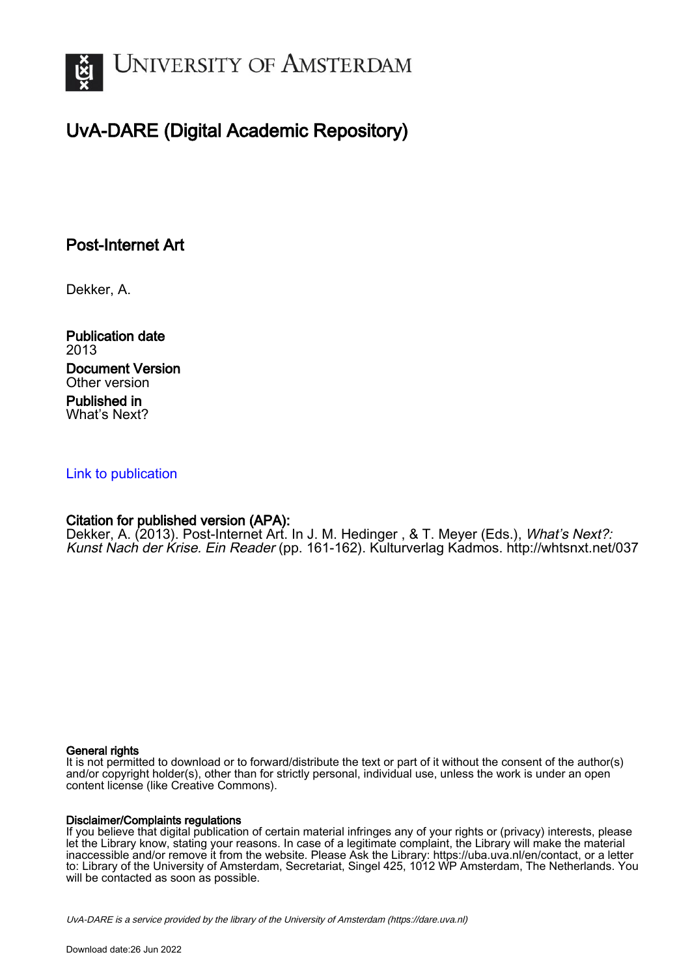

## UvA-DARE (Digital Academic Repository)

## Post-Internet Art

Dekker, A.

Publication date 2013 Document Version Other version Published in What's Next?

### [Link to publication](https://dare.uva.nl/personal/pure/en/publications/postinternet-art(0f9b8aeb-31d4-4b8b-b4ee-c969470a59c6).html)

### Citation for published version (APA):

Dekker, A. (2013). Post-Internet Art. In J. M. Hedinger , & T. Meyer (Eds.), *What's Next?:* Kunst Nach der Krise. Ein Reader (pp. 161-162). Kulturverlag Kadmos. <http://whtsnxt.net/037>

#### General rights

It is not permitted to download or to forward/distribute the text or part of it without the consent of the author(s) and/or copyright holder(s), other than for strictly personal, individual use, unless the work is under an open content license (like Creative Commons).

#### Disclaimer/Complaints regulations

If you believe that digital publication of certain material infringes any of your rights or (privacy) interests, please let the Library know, stating your reasons. In case of a legitimate complaint, the Library will make the material inaccessible and/or remove it from the website. Please Ask the Library: https://uba.uva.nl/en/contact, or a letter to: Library of the University of Amsterdam, Secretariat, Singel 425, 1012 WP Amsterdam, The Netherlands. You will be contacted as soon as possible.

UvA-DARE is a service provided by the library of the University of Amsterdam (http*s*://dare.uva.nl)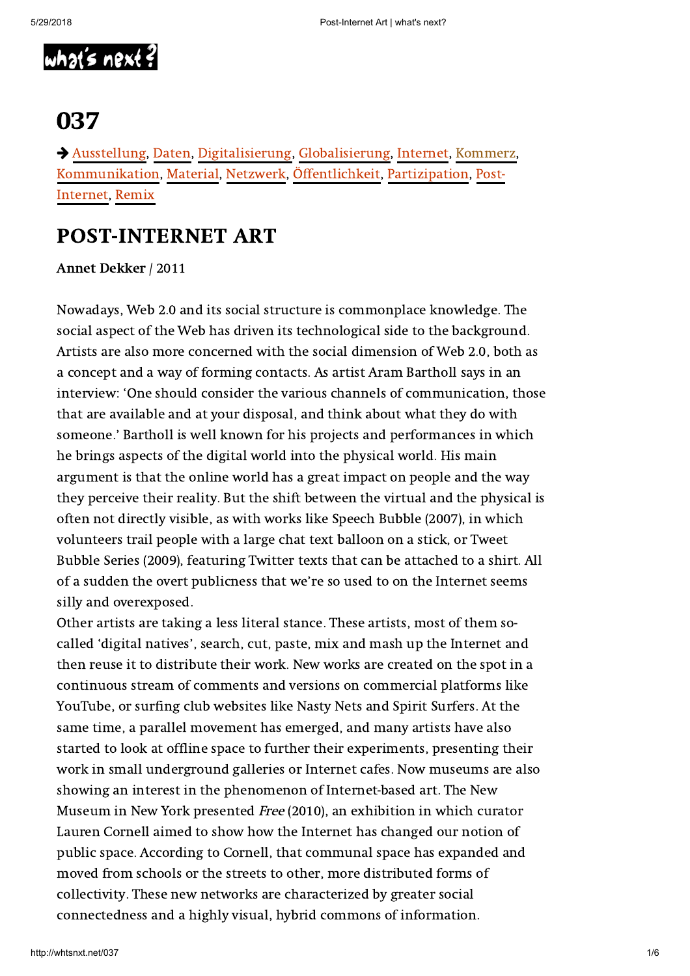

# 037

 [Ausstellung,](http://whtsnxt.net/tag/ausstellung) [Daten,](http://whtsnxt.net/tag/daten) [Digitalisierung,](http://whtsnxt.net/tag/digitalisierung) [Globalisierung,](http://whtsnxt.net/tag/globalisierung) [Internet](http://whtsnxt.net/tag/internet), [Kommerz](http://whtsnxt.net/tag/kommerz), [Kommunikation](http://whtsnxt.net/tag/kommunikation)[,](http://whtsnxt.net/tag/post-internet) [Material](http://whtsnxt.net/tag/material), [Netzwerk,](http://whtsnxt.net/tag/netzwerk) [Öffentlichkeit](http://whtsnxt.net/tag/oeffentlichkeit), [Partizipation](http://whtsnxt.net/tag/partizipation), Post-Internet, [Remix](http://whtsnxt.net/tag/remix)

## POST-INTERNET ART

Annet Dekker / 2011

Nowadays, Web 2.0 and its social structure is commonplace knowledge. The social aspect of the Web has driven its technological side to the background. Artists are also more concerned with the social dimension of Web 2.0, both as a concept and a way of forming contacts. As artist Aram Bartholl says in an interview: 'One should consider the various channels of communication, those that are available and at your disposal, and think about what they do with someone.' Bartholl is well known for his projects and performances in which he brings aspects of the digital world into the physical world. His main argument is that the online world has a great impact on people and the way they perceive their reality. But the shift between the virtual and the physical is often not directly visible, as with works like Speech Bubble (2007), in which volunteers trail people with a large chat text balloon on a stick, or Tweet Bubble Series (2009), featuring Twitter texts that can be attached to a shirt. All of a sudden the overt publicness that we're so used to on the Internet seems silly and overexposed.

Other artists are taking a less literal stance. These artists, most of them socalled 'digital natives', search, cut, paste, mix and mash up the Internet and then reuse it to distribute their work. New works are created on the spot in a continuous stream of comments and versions on commercial platforms like YouTube, or surfing club websites like Nasty Nets and Spirit Surfers. At the same time, a parallel movement has emerged, and many artists have also started to look at offline space to further their experiments, presenting their work in small underground galleries or Internet cafes. Now museums are also showing an interest in the phenomenon of Internet-based art. The New Museum in New York presented Free (2010), an exhibition in which curator Lauren Cornell aimed to show how the Internet has changed our notion of public space. According to Cornell, that communal space has expanded and moved from schools or the streets to other, more distributed forms of collectivity. These new networks are characterized by greater social connectedness and a highly visual, hybrid commons of information.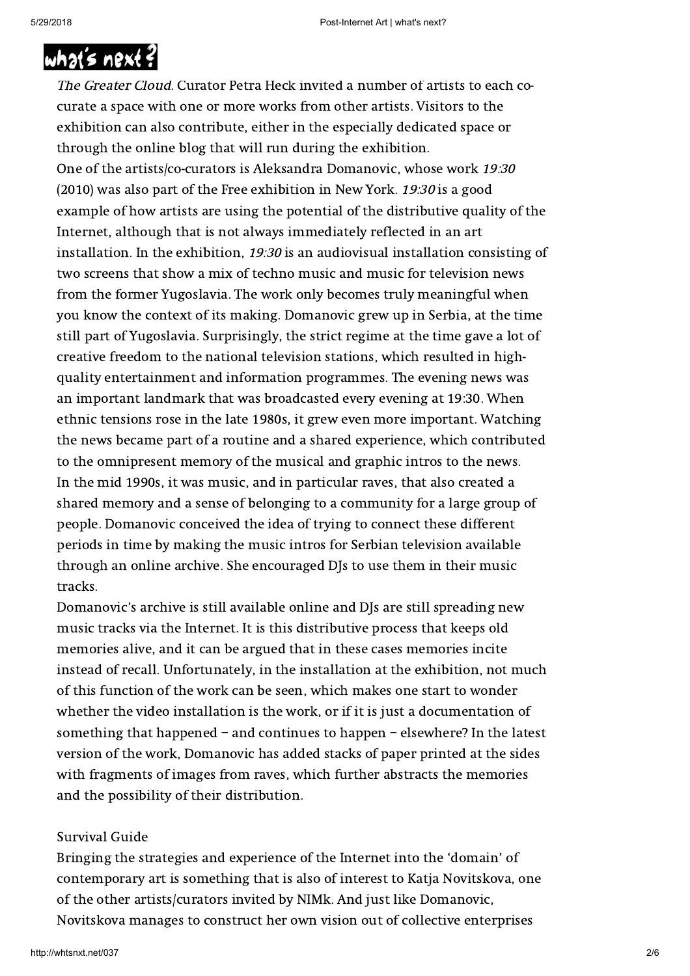### Remix [The Netherlands](http://whtsnxt.net/) Media Art Institute (NIMK) is responding with the exhibition of the exhibition of exhibition  $\mathcal{L}$

The Greater Cloud. Curator Petra Heck invited a number of artists to each cocurate a space with one or more works from other artists. Visitors to the exhibition can also contribute, either in the especially dedicated space or through the online blog that will run during the exhibition. One of the artists/co-curators is Aleksandra Domanovic, whose work 19:30 (2010) was also part of the Free exhibition in New York. 19:30 is a good example of how artists are using the potential of the distributive quality of the Internet, although that is not always immediately reflected in an art installation. In the exhibition, 19:30 is an audiovisual installation consisting of two screens that show a mix of techno music and music for television news from the former Yugoslavia. The work only becomes truly meaningful when you know the context of its making. Domanovic grew up in Serbia, at the time still part of Yugoslavia. Surprisingly, the strict regime at the time gave a lot of creative freedom to the national television stations, which resulted in highquality entertainment and information programmes. The evening news was an important landmark that was broadcasted every evening at 19:30. When ethnic tensions rose in the late 1980s, it grew even more important. Watching the news became part of a routine and a shared experience, which contributed to the omnipresent memory of the musical and graphic intros to the news. In the mid 1990s, it was music, and in particular raves, that also created a shared memory and a sense of belonging to a community for a large group of people. Domanovic conceived the idea of trying to connect these different periods in time by making the music intros for Serbian television available through an online archive. She encouraged DJs to use them in their music tracks.

Domanovic's archive is still available online and DJs are still spreading new music tracks via the Internet. It is this distributive process that keeps old memories alive, and it can be argued that in these cases memories incite instead of recall. Unfortunately, in the installation at the exhibition, not much of this function of the work can be seen, which makes one start to wonder whether the video installation is the work, or if it is just a documentation of something that happened – and continues to happen – elsewhere? In the latest version of the work, Domanovic has added stacks of paper printed at the sides with fragments of images from raves, which further abstracts the memories and the possibility of their distribution.

### Survival Guide

Bringing the strategies and experience of the Internet into the 'domain' of contemporary art is something that is also of interest to Katja Novitskova, one of the other artists/curators invited by NIMk. And just like Domanovic, Novitskova manages to construct her own vision out of collective enterprises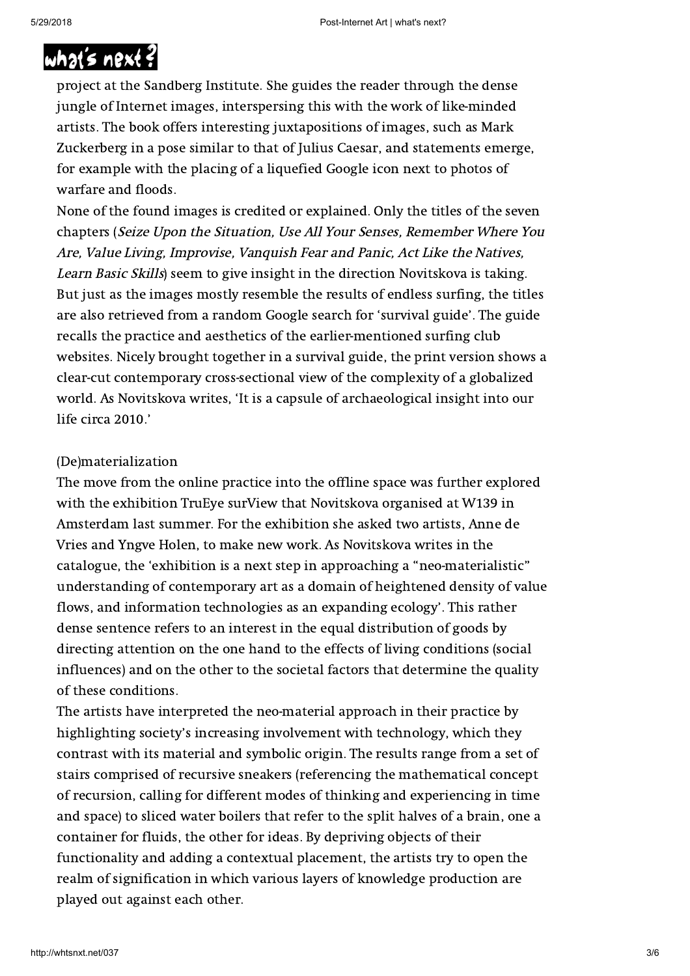## and the image-sharing practice of digital natives. In 2010, Novitskova of digital natives. In 2010, Novitskov [published the bo](http://whtsnxt.net/)ok Post Internet Survival Guide as part of her graduation of her graduation of her graduation

project at the Sandberg Institute. She guides the reader through the dense jungle of Internet images, interspersing this with the work of like-minded artists. The book offers interesting juxtapositions of images, such as Mark Zuckerberg in a pose similar to that of Julius Caesar, and statements emerge, for example with the placing of a liquefied Google icon next to photos of warfare and floods.

None of the found images is credited or explained. Only the titles of the seven chapters (Seize Upon the Situation, Use All Your Senses, Remember Where You Are, Value Living, Improvise, Vanquish Fear and Panic, Act Like the Natives, Learn Basic Skills) seem to give insight in the direction Novitskova is taking. But just as the images mostly resemble the results of endless surfing, the titles are also retrieved from a random Google search for 'survival guide'. The guide recalls the practice and aesthetics of the earlier-mentioned surfing club websites. Nicely brought together in a survival guide, the print version shows a clear-cut contemporary cross-sectional view of the complexity of a globalized world. As Novitskova writes, 'It is a capsule of archaeological insight into our life circa 2010.'

### (De)materialization

The move from the online practice into the offline space was further explored with the exhibition TruEye surView that Novitskova organised at W139 in Amsterdam last summer. For the exhibition she asked two artists, Anne de Vries and Yngve Holen, to make new work. As Novitskova writes in the catalogue, the 'exhibition is a next step in approaching a "neo-materialistic" understanding of contemporary art as a domain of heightened density of value flows, and information technologies as an expanding ecology'. This rather dense sentence refers to an interest in the equal distribution of goods by directing attention on the one hand to the effects of living conditions (social influences) and on the other to the societal factors that determine the quality of these conditions.

The artists have interpreted the neo-material approach in their practice by highlighting society's increasing involvement with technology, which they contrast with its material and symbolic origin. The results range from a set of stairs comprised of recursive sneakers (referencing the mathematical concept of recursion, calling for different modes of thinking and experiencing in time and space) to sliced water boilers that refer to the split halves of a brain, one a container for fluids, the other for ideas. By depriving objects of their functionality and adding a contextual placement, the artists try to open the realm of signification in which various layers of knowledge production are played out against each other.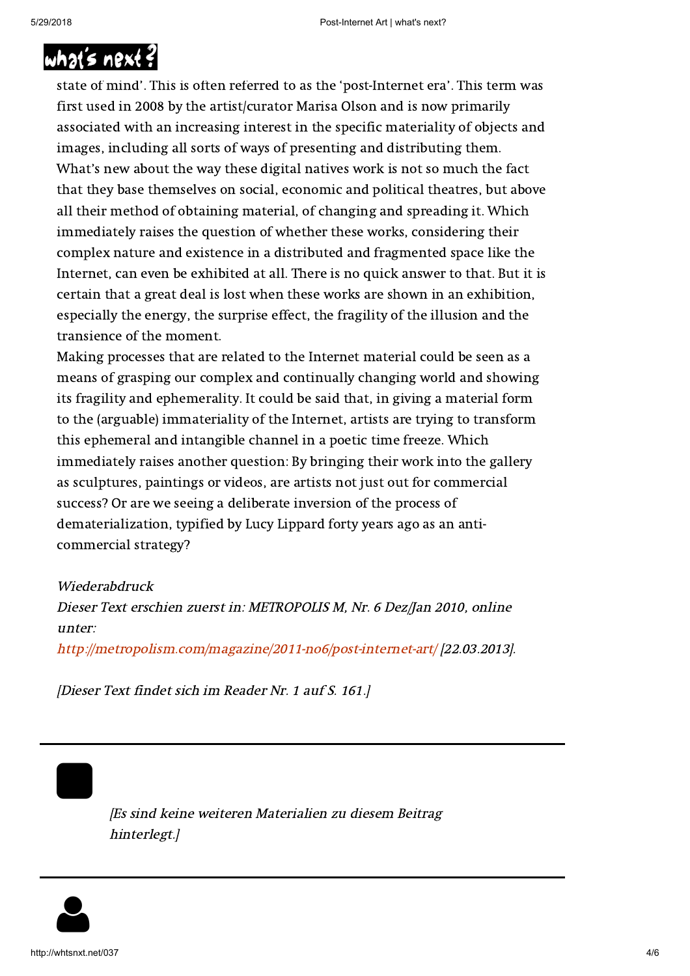## Commercial? [Digital natives m](http://whtsnxt.net/)ake and present their work in a kind of 'automatic Internet

state of mind'. This is often referred to as the 'post-Internet era'. This term was first used in 2008 by the artist/curator Marisa Olson and is now primarily associated with an increasing interest in the specific materiality of objects and images, including all sorts of ways of presenting and distributing them. What's new about the way these digital natives work is not so much the fact that they base themselves on social, economic and political theatres, but above all their method of obtaining material, of changing and spreading it. Which immediately raises the question of whether these works, considering their complex nature and existence in a distributed and fragmented space like the Internet, can even be exhibited at all. There is no quick answer to that. But it is certain that a great deal is lost when these works are shown in an exhibition, especially the energy, the surprise effect, the fragility of the illusion and the transience of the moment.

Making processes that are related to the Internet material could be seen as a means of grasping our complex and continually changing world and showing its fragility and ephemerality. It could be said that, in giving a material form to the (arguable) immateriality of the Internet, artists are trying to transform this ephemeral and intangible channel in a poetic time freeze. Which immediately raises another question: By bringing their work into the gallery as sculptures, paintings or videos, are artists not just out for commercial success? Or are we seeing a deliberate inversion of the process of dematerialization, typified by Lucy Lippard forty years ago as an anticommercial strategy?

### Wiederabdruck

Dieser Text erschien zuerst in: METROPOLIS M, Nr. 6 Dez/Jan 2010, online unter:

<http://metropolism.com/magazine/2011-no6/post-internet-art/>[22.03.2013].

[Dieser Text findet sich im Reader Nr. 1 auf S. 161.]

 $\qquad \qquad \blacksquare$ 

[Es sind keine weiteren Materialien zu diesem Beitrag hinterlegt.]